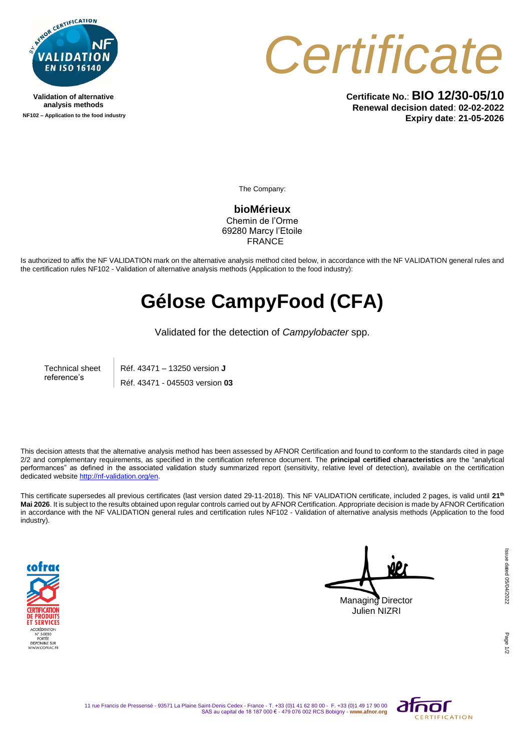

**Validation of alternative analysis methods NF102 – Application to the food industry**



**Certificate No.**: **BIO 12/30-05/10 Renewal decision dated**: **02-02-2022 Expiry date**: **21-05-2026**

The Company:

**bioMérieux** Chemin de l'Orme 69280 Marcy l'Etoile **FRANCE** 

Is authorized to affix the NF VALIDATION mark on the alternative analysis method cited below, in accordance with the NF VALIDATION general rules and the certification rules NF102 - Validation of alternative analysis methods (Application to the food industry):

## **Gélose CampyFood (CFA)**

Validated for the detection of *Campylobacter* spp.

Technical sheet reference's Réf. 43471 – 13250 version **J** Réf. 43471 - 045503 version **03**

This decision attests that the alternative analysis method has been assessed by AFNOR Certification and found to conform to the standards cited in page 2/2 and complementary requirements, as specified in the certification reference document. The **principal certified characteristics** are the "analytical performances" as defined in the associated validation study summarized report (sensitivity, relative level of detection), available on the certification dedicated websit[e http://nf-validation.org/en.](http://nf-validation.org/en)

This certificate supersedes all previous certificates (last version dated 29-11-2018). This NF VALIDATION certificate, included 2 pages, is valid until **21th Mai 2026**. It is subject to the results obtained upon regular controls carried out by AFNOR Certification. Appropriate decision is made by AFNOR Certification in accordance with the NF VALIDATION general rules and certification rules NF102 - Validation of alternative analysis methods (Application to the food industry).



Managing Director Julien NIZRI

Issue dated 05/04/2022 Issue dated 05/04/2022 Page